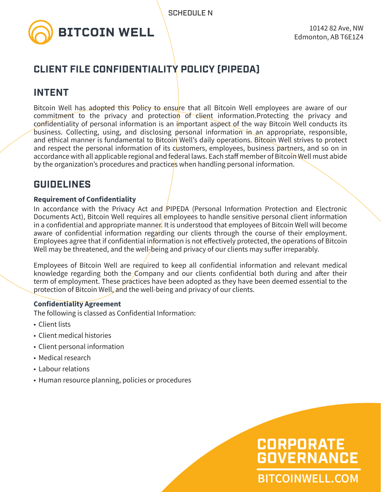

# **CLIENT FILE CONFIDENTIALITY POLICY (PIPEDA)**

# **INTENT**

Bitcoin Well has adopted this Policy to ensure that all Bitcoin Well employees are aware of our commitment to the privacy and protection of client information.Protecting the privacy and confidentiality of personal information is an important aspect of the way Bitcoin Well conducts its business. Collecting, using, and disclosing personal information in an appropriate, responsible, and ethical manner is fundamental to Bitcoin Well's daily operations. Bitcoin Well strives to protect and respect the personal information of its customers, employees, business partners, and so on in accordance with all applicable regional and federal laws. Each staff member of Bitcoin Well must abide by the organization's procedures and practices when handling personal information.

# **GUIDELINES**

# **Requirement of Confidentiality**

In accordance with the Privacy Act and PIPEDA (Personal Information Protection and Electronic Documents Act), Bitcoin Well requires all employees to handle sensitive personal client information in a confidential and appropriate manner. It is understood that employees of Bitcoin Well will become aware of confidential information regarding our clients through the course of their employment. Employees agree that if confidential information is not effectively protected, the operations of Bitcoin Well may be threatened, and the well-being and privacy of our clients may suffer irreparably.

Employees of Bitcoin Well are required to keep all confidential information and relevant medical knowledge regarding both the Company and our clients confidential both during and after their term of employment. These practices have been adopted as they have been deemed essential to the protection of Bitcoin Well, and the well-being and privacy of our clients.

# **Confidentiality Agreement**

The following is classed as Confidential Information:

- Client lists
- Client medical histories
- Client personal information
- Medical research
- Labour relations
- Human resource planning, policies or procedures